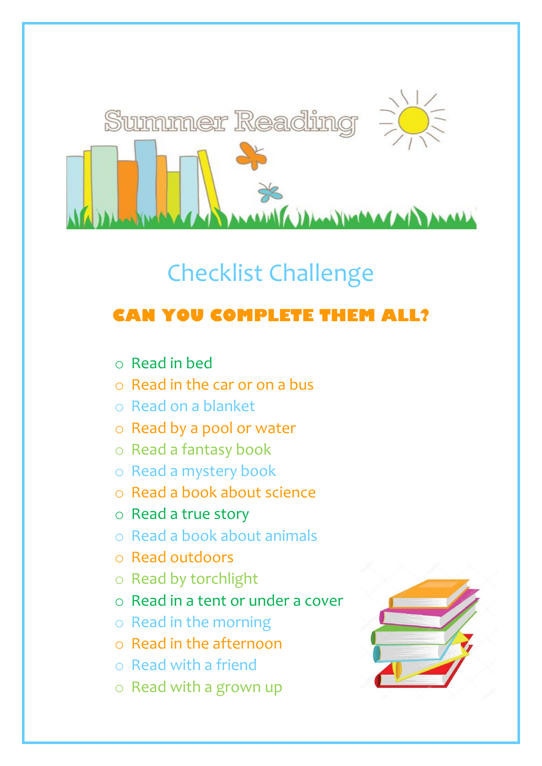

## Checklist Challenge

## **CAN YOU COMPLETE THEM ALL?**

- o Read in bed
- o Read in the car or on a bus
- o Read on a blanket
- o Read by a pool or water
- o Read a fantasy book
- o Read a mystery book
- o Read a book about science
- o Read a true story
- o Read a book about animals
- o Read outdoors
- o Read by torchlight
- o Read in a tent or under a cover
- o Read in the morning
- o Read in the afternoon
- o Read with a friend
- o Read with a grown up